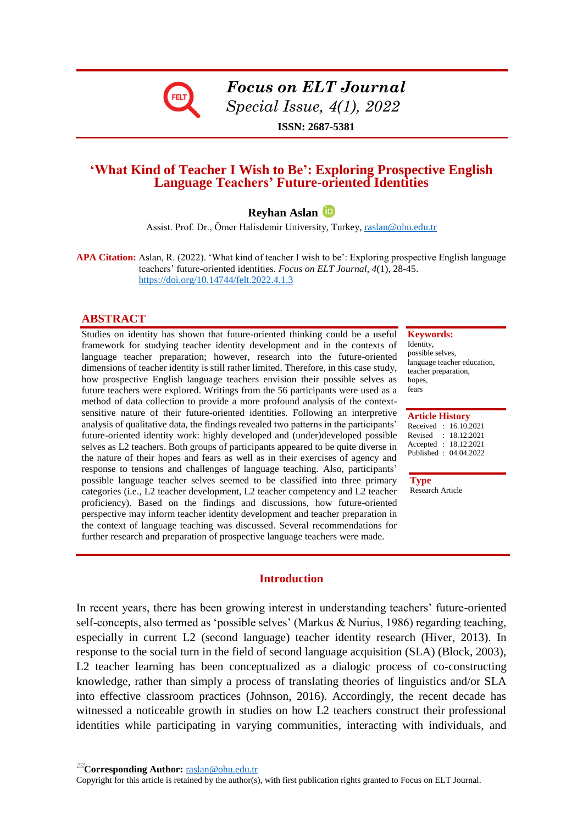

*Focus on ELT Journal Special Issue, 4(1), 2022*

**ISSN: 2687-5381**

# **'What Kind of Teacher I Wish to Be': Exploring Prospective English Language Teachers' Future-oriented Identities**

# **Reyhan Aslan**

Assist. Prof. Dr., Ömer Halisdemir University, Turkey, [raslan@ohu.edu.tr](mailto:raslan@ohu.edu.tr)

**APA Citation:** Aslan, R. (2022). 'What kind of teacher I wish to be': Exploring prospective English language teachers' future-oriented identities. *Focus on ELT Journal, 4*(1), 28-45. <https://doi.org/10.14744/felt.2022.4.1.3>

#### **ABSTRACT**

Studies on identity has shown that future-oriented thinking could be a useful framework for studying teacher identity development and in the contexts of language teacher preparation; however, research into the future-oriented dimensions of teacher identity is still rather limited. Therefore, in this case study, how prospective English language teachers envision their possible selves as future teachers were explored. Writings from the 56 participants were used as a method of data collection to provide a more profound analysis of the contextsensitive nature of their future-oriented identities. Following an interpretive analysis of qualitative data, the findings revealed two patterns in the participants' future-oriented identity work: highly developed and (under)developed possible selves as L2 teachers. Both groups of participants appeared to be quite diverse in the nature of their hopes and fears as well as in their exercises of agency and response to tensions and challenges of language teaching. Also, participants' possible language teacher selves seemed to be classified into three primary categories (i.e., L2 teacher development, L2 teacher competency and L2 teacher proficiency). Based on the findings and discussions, how future-oriented perspective may inform teacher identity development and teacher preparation in the context of language teaching was discussed. Several recommendations for further research and preparation of prospective language teachers were made.

**Keywords:** Identity,

possible selves, language teacher education, teacher preparation, hopes, fears

**Article History**

| Received: 16.10.2021  |
|-----------------------|
| : 18.12.2021          |
| Accepted : 18.12.2021 |
| Published: 04.04.2022 |
|                       |

**Type** Research Article

#### **Introduction**

In recent years, there has been growing interest in understanding teachers' future-oriented self-concepts, also termed as 'possible selves' (Markus & Nurius, 1986) regarding teaching, especially in current L2 (second language) teacher identity research (Hiver, 2013). In response to the social turn in the field of second language acquisition (SLA) (Block, 2003), L2 teacher learning has been conceptualized as a dialogic process of co-constructing knowledge, rather than simply a process of translating theories of linguistics and/or SLA into effective classroom practices (Johnson, 2016). Accordingly, the recent decade has witnessed a noticeable growth in studies on how L2 teachers construct their professional identities while participating in varying communities, interacting with individuals, and

**Corresponding Author:** [raslan@ohu.edu.tr](mailto:raslan@ohu.edu.tr) 

Copyright for this article is retained by the author(s), with first publication rights granted to Focus on ELT Journal.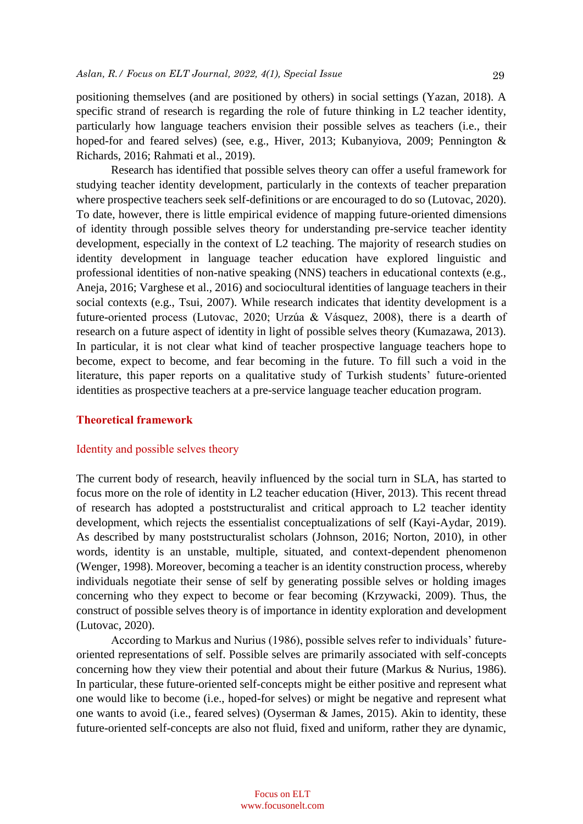positioning themselves (and are positioned by others) in social settings (Yazan, 2018). A specific strand of research is regarding the role of future thinking in L2 teacher identity, particularly how language teachers envision their possible selves as teachers (i.e., their hoped-for and feared selves) (see, e.g., Hiver, 2013; Kubanyiova, 2009; Pennington & Richards, 2016; Rahmati et al., 2019).

Research has identified that possible selves theory can offer a useful framework for studying teacher identity development, particularly in the contexts of teacher preparation where prospective teachers seek self-definitions or are encouraged to do so (Lutovac, 2020). To date, however, there is little empirical evidence of mapping future-oriented dimensions of identity through possible selves theory for understanding pre-service teacher identity development, especially in the context of L2 teaching. The majority of research studies on identity development in language teacher education have explored linguistic and professional identities of non-native speaking (NNS) teachers in educational contexts (e.g., Aneja, 2016; Varghese et al., 2016) and sociocultural identities of language teachers in their social contexts (e.g., Tsui, 2007). While research indicates that identity development is a future-oriented process (Lutovac, 2020; Urzúa & Vásquez, 2008), there is a dearth of research on a future aspect of identity in light of possible selves theory (Kumazawa, 2013). In particular, it is not clear what kind of teacher prospective language teachers hope to become, expect to become, and fear becoming in the future. To fill such a void in the literature, this paper reports on a qualitative study of Turkish students' future-oriented identities as prospective teachers at a pre-service language teacher education program.

#### **Theoretical framework**

#### Identity and possible selves theory

The current body of research, heavily influenced by the social turn in SLA, has started to focus more on the role of identity in L2 teacher education (Hiver, 2013). This recent thread of research has adopted a poststructuralist and critical approach to L2 teacher identity development, which rejects the essentialist conceptualizations of self (Kayi-Aydar, 2019). As described by many poststructuralist scholars (Johnson, 2016; Norton, 2010), in other words, identity is an unstable, multiple, situated, and context-dependent phenomenon (Wenger, 1998). Moreover, becoming a teacher is an identity construction process, whereby individuals negotiate their sense of self by generating possible selves or holding images concerning who they expect to become or fear becoming (Krzywacki, 2009). Thus, the construct of possible selves theory is of importance in identity exploration and development (Lutovac, 2020).

According to Markus and Nurius (1986), possible selves refer to individuals' futureoriented representations of self. Possible selves are primarily associated with self-concepts concerning how they view their potential and about their future (Markus & Nurius, 1986). In particular, these future-oriented self-concepts might be either positive and represent what one would like to become (i.e., hoped-for selves) or might be negative and represent what one wants to avoid (i.e., feared selves) (Oyserman  $\&$  James, 2015). Akin to identity, these future-oriented self-concepts are also not fluid, fixed and uniform, rather they are dynamic,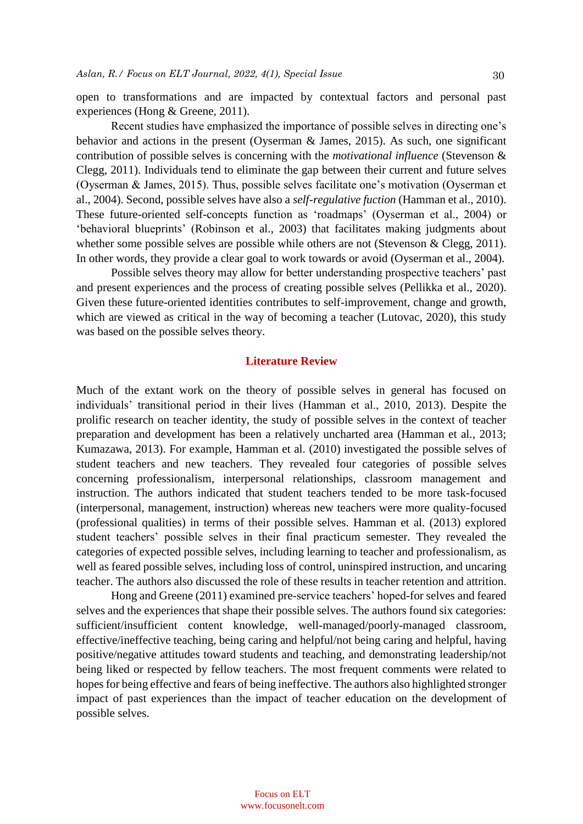open to transformations and are impacted by contextual factors and personal past experiences (Hong & Greene, 2011).

Recent studies have emphasized the importance of possible selves in directing one's behavior and actions in the present (Oyserman & James, 2015). As such, one significant contribution of possible selves is concerning with the *motivational influence* (Stevenson & Clegg, 2011). Individuals tend to eliminate the gap between their current and future selves (Oyserman & James, 2015). Thus, possible selves facilitate one's motivation (Oyserman et al., 2004). Second, possible selves have also a *self-regulative fuction* (Hamman et al., 2010). These future-oriented self-concepts function as 'roadmaps' (Oyserman et al., 2004) or 'behavioral blueprints' (Robinson et al., 2003) that facilitates making judgments about whether some possible selves are possible while others are not (Stevenson & Clegg, 2011). In other words, they provide a clear goal to work towards or avoid (Oyserman et al., 2004).

Possible selves theory may allow for better understanding prospective teachers' past and present experiences and the process of creating possible selves (Pellikka et al., 2020). Given these future-oriented identities contributes to self-improvement, change and growth, which are viewed as critical in the way of becoming a teacher (Lutovac, 2020), this study was based on the possible selves theory.

#### **Literature Review**

Much of the extant work on the theory of possible selves in general has focused on individuals' transitional period in their lives (Hamman et al., 2010, 2013). Despite the prolific research on teacher identity, the study of possible selves in the context of teacher preparation and development has been a relatively uncharted area (Hamman et al., 2013; Kumazawa, 2013). For example, Hamman et al. (2010) investigated the possible selves of student teachers and new teachers. They revealed four categories of possible selves concerning professionalism, interpersonal relationships, classroom management and instruction. The authors indicated that student teachers tended to be more task-focused (interpersonal, management, instruction) whereas new teachers were more quality-focused (professional qualities) in terms of their possible selves. Hamman et al. (2013) explored student teachers' possible selves in their final practicum semester. They revealed the categories of expected possible selves, including learning to teacher and professionalism, as well as feared possible selves, including loss of control, uninspired instruction, and uncaring teacher. The authors also discussed the role of these results in teacher retention and attrition.

Hong and Greene (2011) examined pre-service teachers' hoped-for selves and feared selves and the experiences that shape their possible selves. The authors found six categories: sufficient/insufficient content knowledge, well-managed/poorly-managed classroom, effective/ineffective teaching, being caring and helpful/not being caring and helpful, having positive/negative attitudes toward students and teaching, and demonstrating leadership/not being liked or respected by fellow teachers. The most frequent comments were related to hopes for being effective and fears of being ineffective. The authors also highlighted stronger impact of past experiences than the impact of teacher education on the development of possible selves.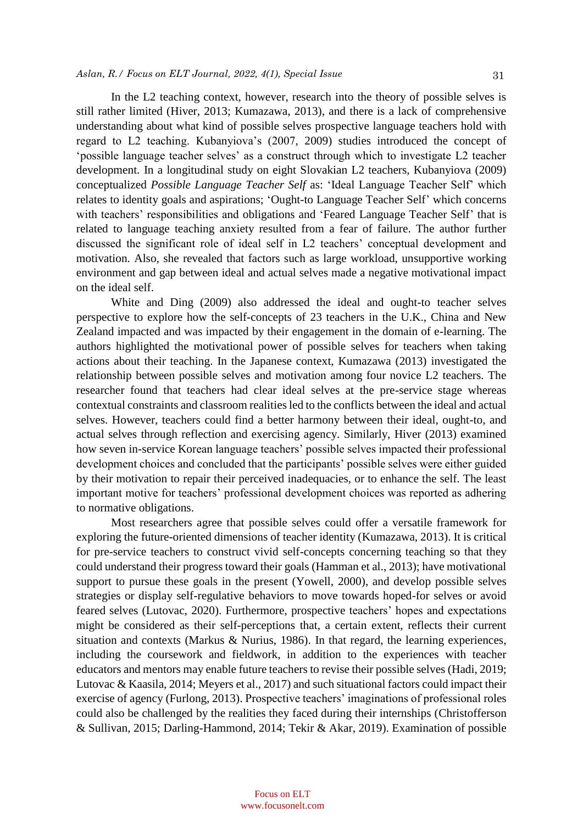# *Aslan, R./ Focus on ELT Journal, 2022, 4(1), Special Issue*  31

In the L2 teaching context, however, research into the theory of possible selves is still rather limited (Hiver, 2013; Kumazawa, 2013), and there is a lack of comprehensive understanding about what kind of possible selves prospective language teachers hold with regard to L2 teaching. Kubanyiova's (2007, 2009) studies introduced the concept of 'possible language teacher selves' as a construct through which to investigate L2 teacher development. In a longitudinal study on eight Slovakian L2 teachers, Kubanyiova (2009) conceptualized *Possible Language Teacher Self* as: 'Ideal Language Teacher Self' which relates to identity goals and aspirations; 'Ought-to Language Teacher Self' which concerns with teachers' responsibilities and obligations and 'Feared Language Teacher Self' that is related to language teaching anxiety resulted from a fear of failure. The author further discussed the significant role of ideal self in L2 teachers' conceptual development and motivation. Also, she revealed that factors such as large workload, unsupportive working environment and gap between ideal and actual selves made a negative motivational impact on the ideal self.

White and Ding (2009) also addressed the ideal and ought-to teacher selves perspective to explore how the self-concepts of 23 teachers in the U.K., China and New Zealand impacted and was impacted by their engagement in the domain of e-learning. The authors highlighted the motivational power of possible selves for teachers when taking actions about their teaching. In the Japanese context, Kumazawa (2013) investigated the relationship between possible selves and motivation among four novice L2 teachers. The researcher found that teachers had clear ideal selves at the pre-service stage whereas contextual constraints and classroom realities led to the conflicts between the ideal and actual selves. However, teachers could find a better harmony between their ideal, ought-to, and actual selves through reflection and exercising agency. Similarly, Hiver (2013) examined how seven in-service Korean language teachers' possible selves impacted their professional development choices and concluded that the participants' possible selves were either guided by their motivation to repair their perceived inadequacies, or to enhance the self. The least important motive for teachers' professional development choices was reported as adhering to normative obligations.

Most researchers agree that possible selves could offer a versatile framework for exploring the future-oriented dimensions of teacher identity (Kumazawa, 2013). It is critical for pre-service teachers to construct vivid self-concepts concerning teaching so that they could understand their progress toward their goals (Hamman et al., 2013); have motivational support to pursue these goals in the present (Yowell, 2000), and develop possible selves strategies or display self-regulative behaviors to move towards hoped-for selves or avoid feared selves (Lutovac, 2020). Furthermore, prospective teachers' hopes and expectations might be considered as their self-perceptions that, a certain extent, reflects their current situation and contexts (Markus & Nurius, 1986). In that regard, the learning experiences, including the coursework and fieldwork, in addition to the experiences with teacher educators and mentors may enable future teachers to revise their possible selves (Hadi, 2019; Lutovac & Kaasila, 2014; Meyers et al., 2017) and such situational factors could impact their exercise of agency (Furlong, 2013). Prospective teachers' imaginations of professional roles could also be challenged by the realities they faced during their internships (Christofferson & Sullivan, 2015; Darling-Hammond, 2014; Tekir & Akar, 2019). Examination of possible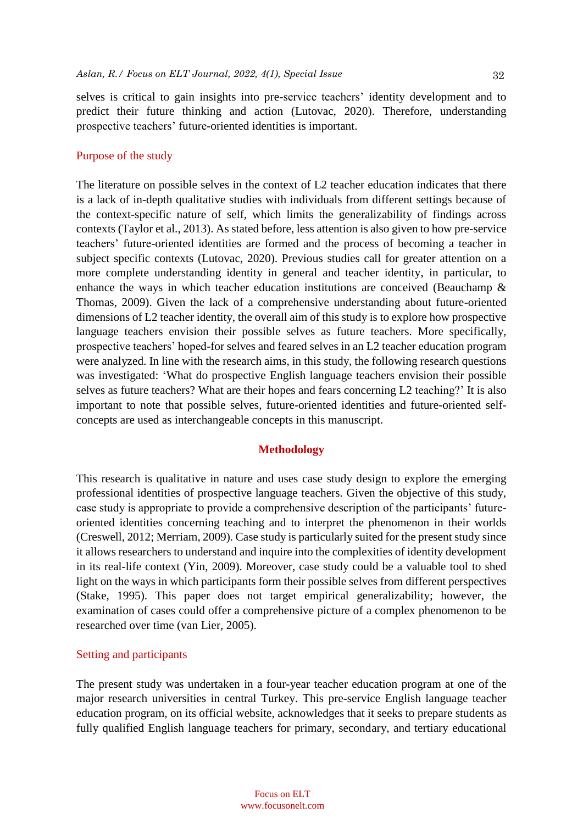selves is critical to gain insights into pre-service teachers' identity development and to predict their future thinking and action (Lutovac, 2020). Therefore, understanding prospective teachers' future-oriented identities is important.

#### Purpose of the study

The literature on possible selves in the context of L2 teacher education indicates that there is a lack of in-depth qualitative studies with individuals from different settings because of the context-specific nature of self, which limits the generalizability of findings across contexts (Taylor et al., 2013). As stated before, less attention is also given to how pre-service teachers' future-oriented identities are formed and the process of becoming a teacher in subject specific contexts (Lutovac, 2020). Previous studies call for greater attention on a more complete understanding identity in general and teacher identity, in particular, to enhance the ways in which teacher education institutions are conceived (Beauchamp & Thomas, 2009). Given the lack of a comprehensive understanding about future-oriented dimensions of L2 teacher identity, the overall aim of this study is to explore how prospective language teachers envision their possible selves as future teachers. More specifically, prospective teachers' hoped-for selves and feared selves in an L2 teacher education program were analyzed. In line with the research aims, in this study, the following research questions was investigated: 'What do prospective English language teachers envision their possible selves as future teachers? What are their hopes and fears concerning L2 teaching?' It is also important to note that possible selves, future-oriented identities and future-oriented selfconcepts are used as interchangeable concepts in this manuscript.

#### **Methodology**

This research is qualitative in nature and uses case study design to explore the emerging professional identities of prospective language teachers. Given the objective of this study, case study is appropriate to provide a comprehensive description of the participants' futureoriented identities concerning teaching and to interpret the phenomenon in their worlds (Creswell, 2012; Merriam, 2009). Case study is particularly suited for the present study since it allows researchers to understand and inquire into the complexities of identity development in its real-life context (Yin, 2009). Moreover, case study could be a valuable tool to shed light on the ways in which participants form their possible selves from different perspectives (Stake, 1995). This paper does not target empirical generalizability; however, the examination of cases could offer a comprehensive picture of a complex phenomenon to be researched over time (van Lier, 2005).

#### Setting and participants

The present study was undertaken in a four-year teacher education program at one of the major research universities in central Turkey. This pre-service English language teacher education program, on its official website, acknowledges that it seeks to prepare students as fully qualified English language teachers for primary, secondary, and tertiary educational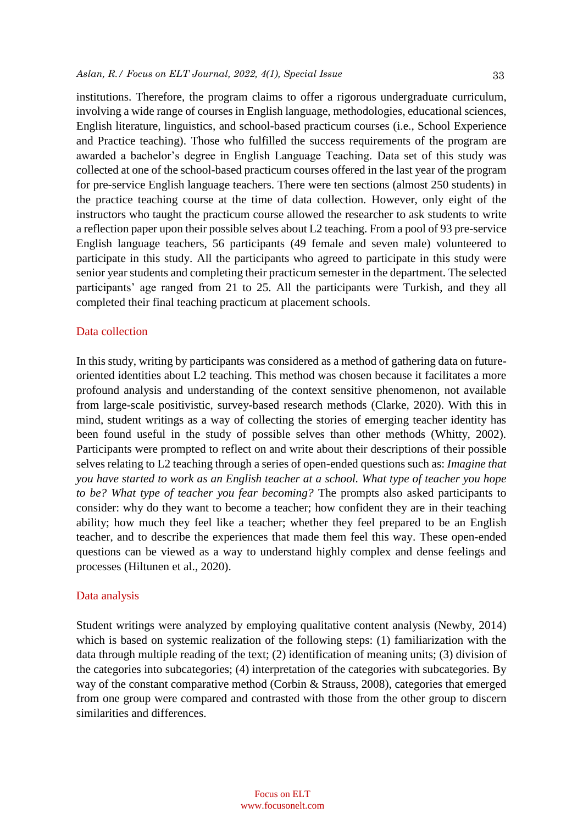institutions. Therefore, the program claims to offer a rigorous undergraduate curriculum, involving a wide range of courses in English language, methodologies, educational sciences, English literature, linguistics, and school-based practicum courses (i.e., School Experience and Practice teaching). Those who fulfilled the success requirements of the program are awarded a bachelor's degree in English Language Teaching. Data set of this study was collected at one of the school-based practicum courses offered in the last year of the program for pre-service English language teachers. There were ten sections (almost 250 students) in the practice teaching course at the time of data collection. However, only eight of the instructors who taught the practicum course allowed the researcher to ask students to write a reflection paper upon their possible selves about L2 teaching. From a pool of 93 pre-service

English language teachers, 56 participants (49 female and seven male) volunteered to participate in this study. All the participants who agreed to participate in this study were senior year students and completing their practicum semester in the department. The selected participants' age ranged from 21 to 25. All the participants were Turkish, and they all completed their final teaching practicum at placement schools.

#### Data collection

In this study, writing by participants was considered as a method of gathering data on futureoriented identities about L2 teaching. This method was chosen because it facilitates a more profound analysis and understanding of the context sensitive phenomenon, not available from large-scale positivistic, survey-based research methods (Clarke, 2020). With this in mind, student writings as a way of collecting the stories of emerging teacher identity has been found useful in the study of possible selves than other methods (Whitty, 2002). Participants were prompted to reflect on and write about their descriptions of their possible selves relating to L2 teaching through a series of open-ended questions such as: *Imagine that you have started to work as an English teacher at a school. What type of teacher you hope to be? What type of teacher you fear becoming?* The prompts also asked participants to consider: why do they want to become a teacher; how confident they are in their teaching ability; how much they feel like a teacher; whether they feel prepared to be an English teacher, and to describe the experiences that made them feel this way. These open-ended questions can be viewed as a way to understand highly complex and dense feelings and processes (Hiltunen et al., 2020).

#### Data analysis

Student writings were analyzed by employing qualitative content analysis (Newby, 2014) which is based on systemic realization of the following steps: (1) familiarization with the data through multiple reading of the text; (2) identification of meaning units; (3) division of the categories into subcategories; (4) interpretation of the categories with subcategories. By way of the constant comparative method (Corbin & Strauss, 2008), categories that emerged from one group were compared and contrasted with those from the other group to discern similarities and differences.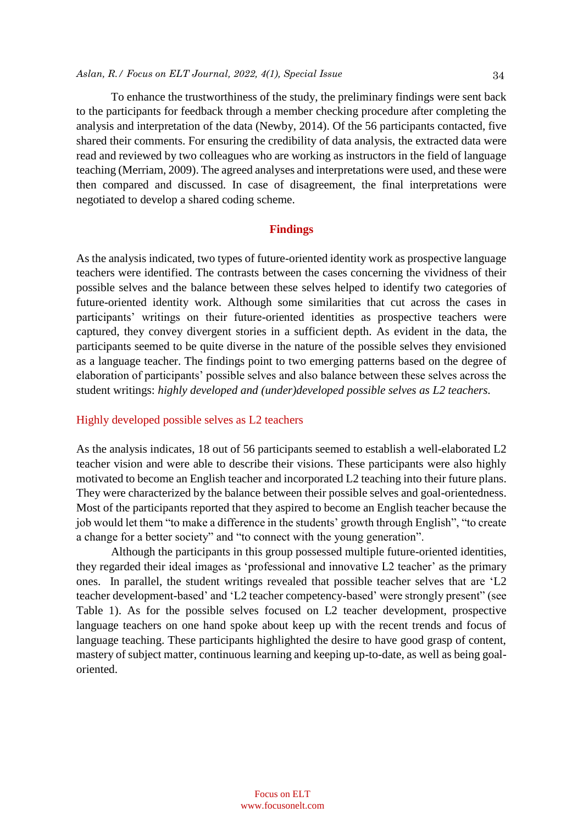# *Aslan, R./ Focus on ELT Journal, 2022, 4(1), Special Issue*  34

To enhance the trustworthiness of the study, the preliminary findings were sent back to the participants for feedback through a member checking procedure after completing the analysis and interpretation of the data (Newby, 2014). Of the 56 participants contacted, five shared their comments. For ensuring the credibility of data analysis, the extracted data were read and reviewed by two colleagues who are working as instructors in the field of language teaching (Merriam, 2009). The agreed analyses and interpretations were used, and these were then compared and discussed. In case of disagreement, the final interpretations were negotiated to develop a shared coding scheme.

#### **Findings**

As the analysis indicated, two types of future-oriented identity work as prospective language teachers were identified. The contrasts between the cases concerning the vividness of their possible selves and the balance between these selves helped to identify two categories of future-oriented identity work. Although some similarities that cut across the cases in participants' writings on their future-oriented identities as prospective teachers were captured, they convey divergent stories in a sufficient depth. As evident in the data, the participants seemed to be quite diverse in the nature of the possible selves they envisioned as a language teacher. The findings point to two emerging patterns based on the degree of elaboration of participants' possible selves and also balance between these selves across the student writings: *highly developed and (under)developed possible selves as L2 teachers.*

#### Highly developed possible selves as L2 teachers

As the analysis indicates, 18 out of 56 participants seemed to establish a well-elaborated L2 teacher vision and were able to describe their visions. These participants were also highly motivated to become an English teacher and incorporated L2 teaching into their future plans. They were characterized by the balance between their possible selves and goal-orientedness. Most of the participants reported that they aspired to become an English teacher because the job would let them "to make a difference in the students' growth through English", "to create a change for a better society" and "to connect with the young generation".

Although the participants in this group possessed multiple future-oriented identities, they regarded their ideal images as 'professional and innovative L2 teacher' as the primary ones. In parallel, the student writings revealed that possible teacher selves that are 'L2 teacher development-based' and 'L2 teacher competency-based' were strongly present" (see Table 1). As for the possible selves focused on L2 teacher development, prospective language teachers on one hand spoke about keep up with the recent trends and focus of language teaching. These participants highlighted the desire to have good grasp of content, mastery of subject matter, continuous learning and keeping up-to-date, as well as being goaloriented.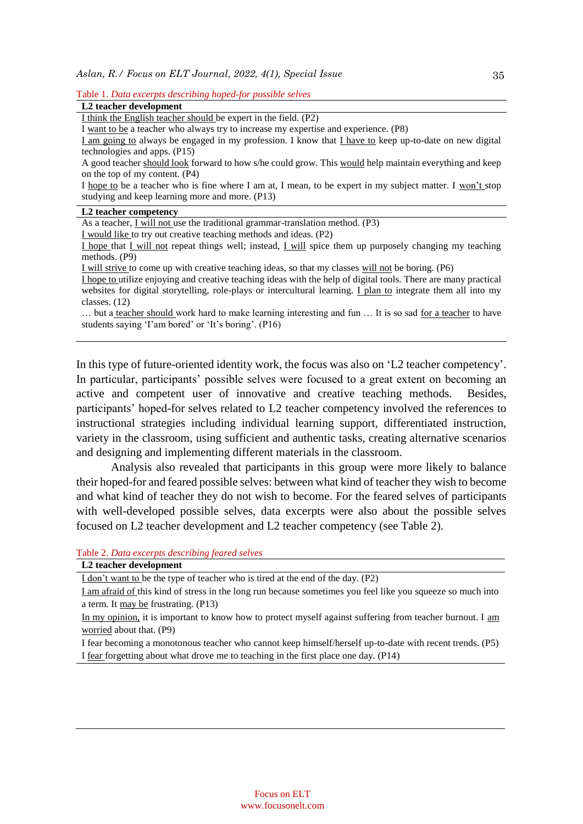| Table 1. Data excerpts describing hoped-for possible selves |  |  |  |
|-------------------------------------------------------------|--|--|--|
|-------------------------------------------------------------|--|--|--|

| L <sub>2</sub> teacher development                                                                              |
|-----------------------------------------------------------------------------------------------------------------|
| I think the English teacher should be expert in the field. $(P2)$                                               |
| I want to be a teacher who always try to increase my expertise and experience. (P8)                             |
| I am going to always be engaged in my profession. I know that I have to keep up-to-date on new digital          |
| technologies and apps. (P15)                                                                                    |
| A good teacher should look forward to how s/he could grow. This would help maintain everything and keep         |
| on the top of my content. (P4)                                                                                  |
| I hope to be a teacher who is fine where I am at, I mean, to be expert in my subject matter. I won't stop       |
| studying and keep learning more and more. (P13)                                                                 |
| L2 teacher competency                                                                                           |
| As a teacher, $I$ will not use the traditional grammar-translation method. (P3)                                 |
| I would like to try out creative teaching methods and ideas. (P2)                                               |
| I hope that I will not repeat things well; instead, I will spice them up purposely changing my teaching         |
| methods. (P9)                                                                                                   |
| I will strive to come up with creative teaching ideas, so that my classes will not be boring. (P6)              |
| I hope to utilize enjoying and creative teaching ideas with the help of digital tools. There are many practical |
| websites for digital storytelling, role-plays or intercultural learning. I plan to integrate them all into my   |
| classes. $(12)$                                                                                                 |
| but a teacher should work hard to make learning interesting and fun  It is so sad <u>for a teacher</u> to have  |
| students saying 'I'am bored' or 'It's boring'. (P16)                                                            |
|                                                                                                                 |
|                                                                                                                 |
| In this type of future-oriented identity work, the focus was also on 'L2 teacher competency'.                   |
|                                                                                                                 |
| In particular, participants' possible selves were focused to a great extent on becoming an                      |
| active and competent user of innovative and creative teaching methods.<br>Besides,                              |
|                                                                                                                 |

active and competent user of innovative and creative teaching methods. Besides, participants' hoped-for selves related to L2 teacher competency involved the references to instructional strategies including individual learning support, differentiated instruction, variety in the classroom, using sufficient and authentic tasks, creating alternative scenarios and designing and implementing different materials in the classroom.

Analysis also revealed that participants in this group were more likely to balance their hoped-for and feared possible selves: between what kind of teacher they wish to become and what kind of teacher they do not wish to become. For the feared selves of participants with well-developed possible selves, data excerpts were also about the possible selves focused on L2 teacher development and L2 teacher competency (see Table 2).

Table 2. *Data excerpts describing feared selves*

I fear forgetting about what drove me to teaching in the first place one day. (P14)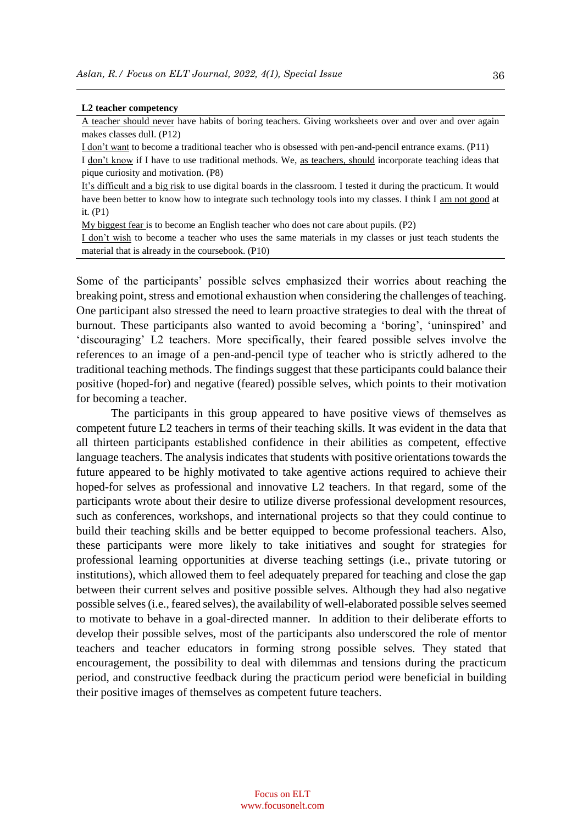#### **L2 teacher competency**

A teacher should never have habits of boring teachers. Giving worksheets over and over and over again makes classes dull. (P12)

I don't want to become a traditional teacher who is obsessed with pen-and-pencil entrance exams. (P11)

I don't know if I have to use traditional methods. We, as teachers, should incorporate teaching ideas that pique curiosity and motivation. (P8)

It's difficult and a big risk to use digital boards in the classroom. I tested it during the practicum. It would have been better to know how to integrate such technology tools into my classes. I think I am not good at it. (P1)

My biggest fear is to become an English teacher who does not care about pupils. (P2)

I don't wish to become a teacher who uses the same materials in my classes or just teach students the material that is already in the coursebook. (P10)

Some of the participants' possible selves emphasized their worries about reaching the breaking point, stress and emotional exhaustion when considering the challenges of teaching. One participant also stressed the need to learn proactive strategies to deal with the threat of burnout. These participants also wanted to avoid becoming a 'boring', 'uninspired' and 'discouraging' L2 teachers. More specifically, their feared possible selves involve the references to an image of a pen-and-pencil type of teacher who is strictly adhered to the traditional teaching methods. The findings suggest that these participants could balance their positive (hoped-for) and negative (feared) possible selves, which points to their motivation for becoming a teacher.

The participants in this group appeared to have positive views of themselves as competent future L2 teachers in terms of their teaching skills. It was evident in the data that all thirteen participants established confidence in their abilities as competent, effective language teachers. The analysis indicates that students with positive orientations towards the future appeared to be highly motivated to take agentive actions required to achieve their hoped-for selves as professional and innovative L2 teachers. In that regard, some of the participants wrote about their desire to utilize diverse professional development resources, such as conferences, workshops, and international projects so that they could continue to build their teaching skills and be better equipped to become professional teachers. Also, these participants were more likely to take initiatives and sought for strategies for professional learning opportunities at diverse teaching settings (i.e., private tutoring or institutions), which allowed them to feel adequately prepared for teaching and close the gap between their current selves and positive possible selves. Although they had also negative possible selves (i.e., feared selves), the availability of well-elaborated possible selves seemed to motivate to behave in a goal-directed manner. In addition to their deliberate efforts to develop their possible selves, most of the participants also underscored the role of mentor teachers and teacher educators in forming strong possible selves. They stated that encouragement, the possibility to deal with dilemmas and tensions during the practicum period, and constructive feedback during the practicum period were beneficial in building their positive images of themselves as competent future teachers.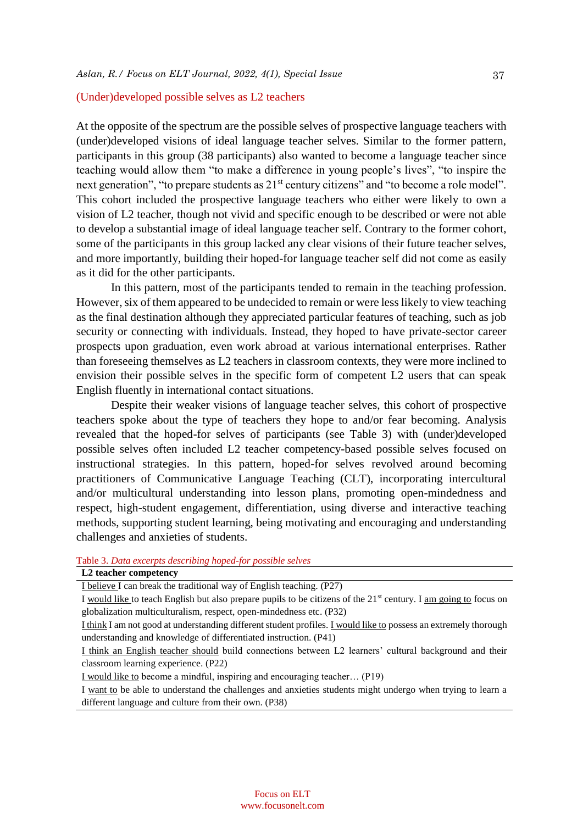### (Under)developed possible selves as L2 teachers

At the opposite of the spectrum are the possible selves of prospective language teachers with (under)developed visions of ideal language teacher selves. Similar to the former pattern, participants in this group (38 participants) also wanted to become a language teacher since teaching would allow them "to make a difference in young people's lives", "to inspire the next generation", "to prepare students as 21<sup>st</sup> century citizens" and "to become a role model". This cohort included the prospective language teachers who either were likely to own a vision of L2 teacher, though not vivid and specific enough to be described or were not able to develop a substantial image of ideal language teacher self. Contrary to the former cohort, some of the participants in this group lacked any clear visions of their future teacher selves, and more importantly, building their hoped-for language teacher self did not come as easily as it did for the other participants.

In this pattern, most of the participants tended to remain in the teaching profession. However, six of them appeared to be undecided to remain or were less likely to view teaching as the final destination although they appreciated particular features of teaching, such as job security or connecting with individuals. Instead, they hoped to have private-sector career prospects upon graduation, even work abroad at various international enterprises. Rather than foreseeing themselves as L2 teachers in classroom contexts, they were more inclined to envision their possible selves in the specific form of competent L2 users that can speak English fluently in international contact situations.

Despite their weaker visions of language teacher selves, this cohort of prospective teachers spoke about the type of teachers they hope to and/or fear becoming. Analysis revealed that the hoped-for selves of participants (see Table 3) with (under)developed possible selves often included L2 teacher competency-based possible selves focused on instructional strategies. In this pattern, hoped-for selves revolved around becoming practitioners of Communicative Language Teaching (CLT), incorporating intercultural and/or multicultural understanding into lesson plans, promoting open-mindedness and respect, high-student engagement, differentiation, using diverse and interactive teaching methods, supporting student learning, being motivating and encouraging and understanding challenges and anxieties of students.

#### Table 3. *Data excerpts describing hoped-for possible selves*

# **L2 teacher competency**

I believe I can break the traditional way of English teaching. (P27)

I would like to teach English but also prepare pupils to be citizens of the  $21<sup>st</sup>$  century. I am going to focus on globalization multiculturalism, respect, open-mindedness etc. (P32)

I think I am not good at understanding different student profiles. I would like to possess an extremely thorough understanding and knowledge of differentiated instruction. (P41)

I think an English teacher should build connections between L2 learners' cultural background and their classroom learning experience. (P22)

I would like to become a mindful, inspiring and encouraging teacher… (P19)

I want to be able to understand the challenges and anxieties students might undergo when trying to learn a different language and culture from their own. (P38)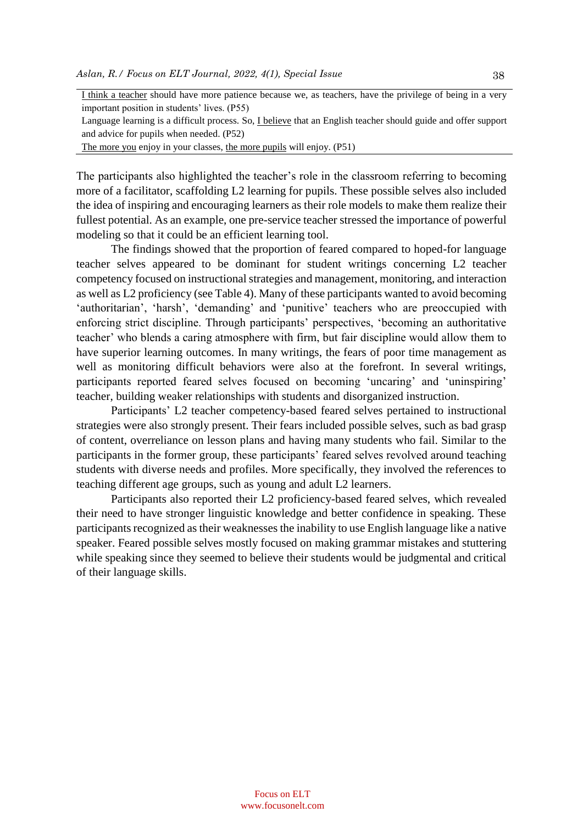| I think a teacher should have more patience because we, as teachers, have the privilege of being in a very     |
|----------------------------------------------------------------------------------------------------------------|
| important position in students' lives. (P55)                                                                   |
| Language learning is a difficult process. So, I believe that an English teacher should guide and offer support |
| and advice for pupils when needed. (P52)                                                                       |
| The more you enjoy in your classes, the more pupils will enjoy. (P51)                                          |
|                                                                                                                |

The participants also highlighted the teacher's role in the classroom referring to becoming more of a facilitator, scaffolding L2 learning for pupils. These possible selves also included the idea of inspiring and encouraging learners as their role models to make them realize their fullest potential. As an example, one pre-service teacher stressed the importance of powerful modeling so that it could be an efficient learning tool.

The findings showed that the proportion of feared compared to hoped-for language teacher selves appeared to be dominant for student writings concerning L2 teacher competency focused on instructional strategies and management, monitoring, and interaction as well as L2 proficiency (see Table 4). Many of these participants wanted to avoid becoming 'authoritarian', 'harsh', 'demanding' and 'punitive' teachers who are preoccupied with enforcing strict discipline. Through participants' perspectives, 'becoming an authoritative teacher' who blends a caring atmosphere with firm, but fair discipline would allow them to have superior learning outcomes. In many writings, the fears of poor time management as well as monitoring difficult behaviors were also at the forefront. In several writings, participants reported feared selves focused on becoming 'uncaring' and 'uninspiring' teacher, building weaker relationships with students and disorganized instruction.

Participants' L2 teacher competency-based feared selves pertained to instructional strategies were also strongly present. Their fears included possible selves, such as bad grasp of content, overreliance on lesson plans and having many students who fail. Similar to the participants in the former group, these participants' feared selves revolved around teaching students with diverse needs and profiles. More specifically, they involved the references to teaching different age groups, such as young and adult L2 learners.

Participants also reported their L2 proficiency-based feared selves, which revealed their need to have stronger linguistic knowledge and better confidence in speaking. These participants recognized as their weaknesses the inability to use English language like a native speaker. Feared possible selves mostly focused on making grammar mistakes and stuttering while speaking since they seemed to believe their students would be judgmental and critical of their language skills.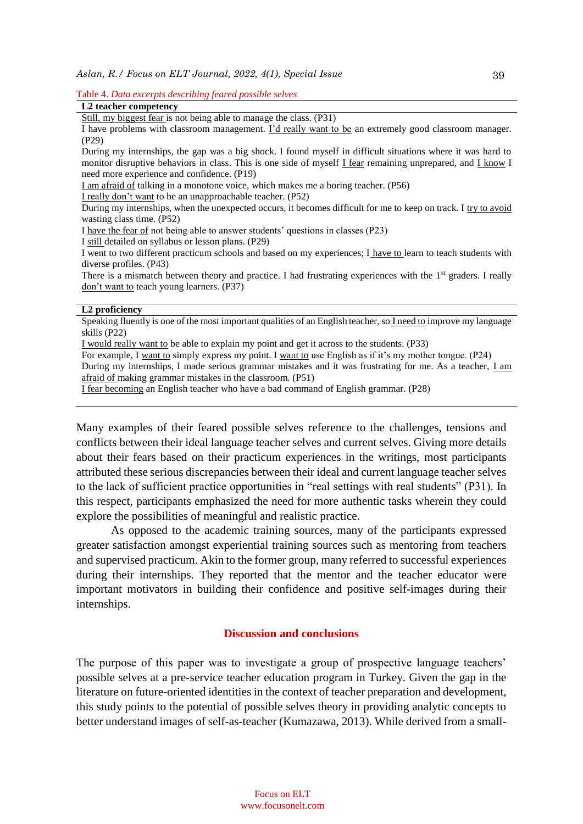#### Table 4. *Data excerpts describing feared possible selves*

|  | L2 teacher competency |
|--|-----------------------|
|--|-----------------------|

Still, my biggest fear is not being able to manage the class. (P31)

I have problems with classroom management. I'd really want to be an extremely good classroom manager. (P29)

During my internships, the gap was a big shock. I found myself in difficult situations where it was hard to monitor disruptive behaviors in class. This is one side of myself I fear remaining unprepared, and I know I need more experience and confidence. (P19)

I am afraid of talking in a monotone voice, which makes me a boring teacher. (P56)

I really don't want to be an unapproachable teacher. (P52)

During my internships, when the unexpected occurs, it becomes difficult for me to keep on track. I try to avoid wasting class time. (P52)

I still detailed on syllabus or lesson plans. (P29)

I went to two different practicum schools and based on my experiences; I have to learn to teach students with diverse profiles. (P43)

There is a mismatch between theory and practice. I had frustrating experiences with the  $1<sup>st</sup>$  graders. I really don't want to teach young learners. (P37)

#### **L2 proficiency**

Speaking fluently is one of the most important qualities of an English teacher, so I need to improve my language skills (P22)

I would really want to be able to explain my point and get it across to the students. (P33)

For example, I want to simply express my point. I want to use English as if it's my mother tongue. (P24) During my internships, I made serious grammar mistakes and it was frustrating for me. As a teacher, *I am* afraid of making grammar mistakes in the classroom. (P51)

I fear becoming an English teacher who have a bad command of English grammar. (P28)

Many examples of their feared possible selves reference to the challenges, tensions and conflicts between their ideal language teacher selves and current selves. Giving more details about their fears based on their practicum experiences in the writings, most participants attributed these serious discrepancies between their ideal and current language teacher selves to the lack of sufficient practice opportunities in "real settings with real students" (P31). In this respect, participants emphasized the need for more authentic tasks wherein they could explore the possibilities of meaningful and realistic practice.

As opposed to the academic training sources, many of the participants expressed greater satisfaction amongst experiential training sources such as mentoring from teachers and supervised practicum. Akin to the former group, many referred to successful experiences during their internships. They reported that the mentor and the teacher educator were important motivators in building their confidence and positive self-images during their internships.

#### **Discussion and conclusions**

The purpose of this paper was to investigate a group of prospective language teachers' possible selves at a pre-service teacher education program in Turkey. Given the gap in the literature on future-oriented identities in the context of teacher preparation and development, this study points to the potential of possible selves theory in providing analytic concepts to better understand images of self-as-teacher (Kumazawa, 2013). While derived from a small-

I have the fear of not being able to answer students' questions in classes (P23)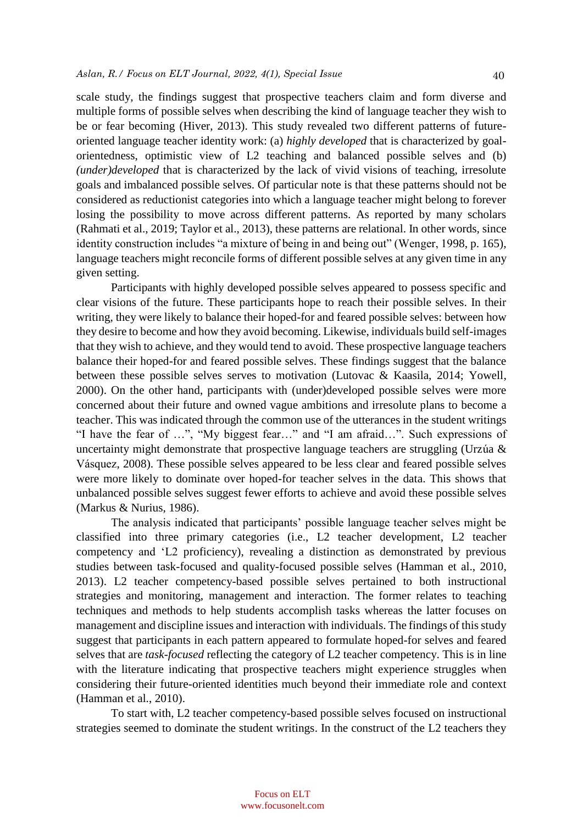scale study, the findings suggest that prospective teachers claim and form diverse and multiple forms of possible selves when describing the kind of language teacher they wish to be or fear becoming (Hiver, 2013). This study revealed two different patterns of futureoriented language teacher identity work: (a) *highly developed* that is characterized by goalorientedness, optimistic view of L2 teaching and balanced possible selves and (b) *(under)developed* that is characterized by the lack of vivid visions of teaching, irresolute goals and imbalanced possible selves. Of particular note is that these patterns should not be considered as reductionist categories into which a language teacher might belong to forever losing the possibility to move across different patterns. As reported by many scholars (Rahmati et al., 2019; Taylor et al., 2013), these patterns are relational. In other words, since identity construction includes "a mixture of being in and being out" (Wenger, 1998, p. 165), language teachers might reconcile forms of different possible selves at any given time in any given setting.

Participants with highly developed possible selves appeared to possess specific and clear visions of the future. These participants hope to reach their possible selves. In their writing, they were likely to balance their hoped-for and feared possible selves: between how they desire to become and how they avoid becoming. Likewise, individuals build self-images that they wish to achieve, and they would tend to avoid. These prospective language teachers balance their hoped-for and feared possible selves. These findings suggest that the balance between these possible selves serves to motivation (Lutovac & Kaasila, 2014; Yowell, 2000). On the other hand, participants with (under)developed possible selves were more concerned about their future and owned vague ambitions and irresolute plans to become a teacher. This was indicated through the common use of the utterances in the student writings "I have the fear of …", "My biggest fear…" and "I am afraid…". Such expressions of uncertainty might demonstrate that prospective language teachers are struggling (Urzúa & Vásquez, 2008). These possible selves appeared to be less clear and feared possible selves were more likely to dominate over hoped-for teacher selves in the data. This shows that unbalanced possible selves suggest fewer efforts to achieve and avoid these possible selves (Markus & Nurius, 1986).

The analysis indicated that participants' possible language teacher selves might be classified into three primary categories (i.e., L2 teacher development, L2 teacher competency and 'L2 proficiency), revealing a distinction as demonstrated by previous studies between task-focused and quality-focused possible selves (Hamman et al., 2010, 2013). L2 teacher competency-based possible selves pertained to both instructional strategies and monitoring, management and interaction. The former relates to teaching techniques and methods to help students accomplish tasks whereas the latter focuses on management and discipline issues and interaction with individuals. The findings of this study suggest that participants in each pattern appeared to formulate hoped-for selves and feared selves that are *task-focused* reflecting the category of L2 teacher competency. This is in line with the literature indicating that prospective teachers might experience struggles when considering their future-oriented identities much beyond their immediate role and context (Hamman et al., 2010).

To start with, L2 teacher competency-based possible selves focused on instructional strategies seemed to dominate the student writings. In the construct of the L2 teachers they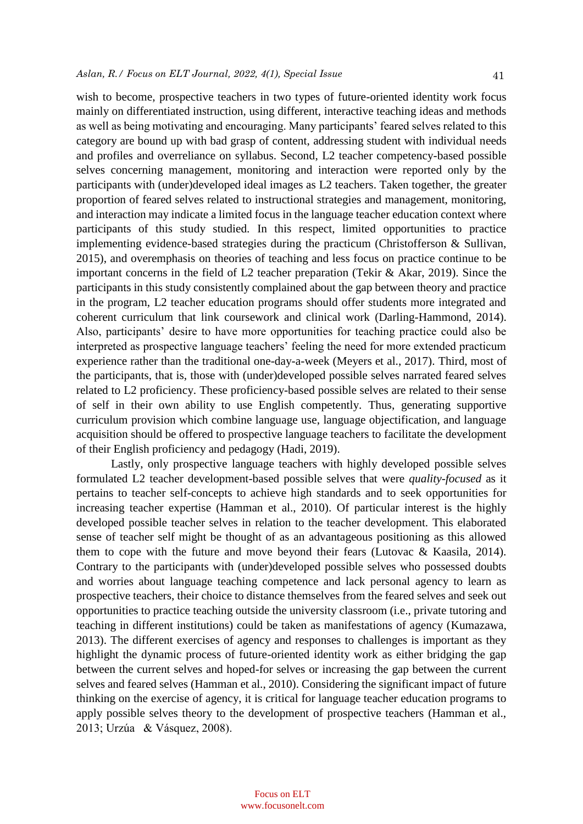wish to become, prospective teachers in two types of future-oriented identity work focus mainly on differentiated instruction, using different, interactive teaching ideas and methods as well as being motivating and encouraging. Many participants' feared selves related to this category are bound up with bad grasp of content, addressing student with individual needs and profiles and overreliance on syllabus. Second, L2 teacher competency-based possible selves concerning management, monitoring and interaction were reported only by the participants with (under)developed ideal images as L2 teachers. Taken together, the greater proportion of feared selves related to instructional strategies and management, monitoring, and interaction may indicate a limited focus in the language teacher education context where participants of this study studied. In this respect, limited opportunities to practice implementing evidence-based strategies during the practicum (Christofferson & Sullivan, 2015), and overemphasis on theories of teaching and less focus on practice continue to be important concerns in the field of L2 teacher preparation (Tekir & Akar, 2019). Since the participants in this study consistently complained about the gap between theory and practice in the program, L2 teacher education programs should offer students more integrated and coherent curriculum that link coursework and clinical work (Darling-Hammond, 2014). Also, participants' desire to have more opportunities for teaching practice could also be interpreted as prospective language teachers' feeling the need for more extended practicum experience rather than the traditional one-day-a-week (Meyers et al., 2017). Third, most of the participants, that is, those with (under)developed possible selves narrated feared selves related to L2 proficiency. These proficiency-based possible selves are related to their sense of self in their own ability to use English competently. Thus, generating supportive curriculum provision which combine language use, language objectification, and language acquisition should be offered to prospective language teachers to facilitate the development of their English proficiency and pedagogy (Hadi, 2019).

Lastly, only prospective language teachers with highly developed possible selves formulated L2 teacher development-based possible selves that were *quality-focused* as it pertains to teacher self-concepts to achieve high standards and to seek opportunities for increasing teacher expertise (Hamman et al., 2010). Of particular interest is the highly developed possible teacher selves in relation to the teacher development. This elaborated sense of teacher self might be thought of as an advantageous positioning as this allowed them to cope with the future and move beyond their fears (Lutovac & Kaasila, 2014). Contrary to the participants with (under)developed possible selves who possessed doubts and worries about language teaching competence and lack personal agency to learn as prospective teachers, their choice to distance themselves from the feared selves and seek out opportunities to practice teaching outside the university classroom (i.e., private tutoring and teaching in different institutions) could be taken as manifestations of agency (Kumazawa, 2013). The different exercises of agency and responses to challenges is important as they highlight the dynamic process of future-oriented identity work as either bridging the gap between the current selves and hoped-for selves or increasing the gap between the current selves and feared selves (Hamman et al., 2010). Considering the significant impact of future thinking on the exercise of agency, it is critical for language teacher education programs to apply possible selves theory to the development of prospective teachers (Hamman et al., 2013; Urzúa & Vásquez, 2008).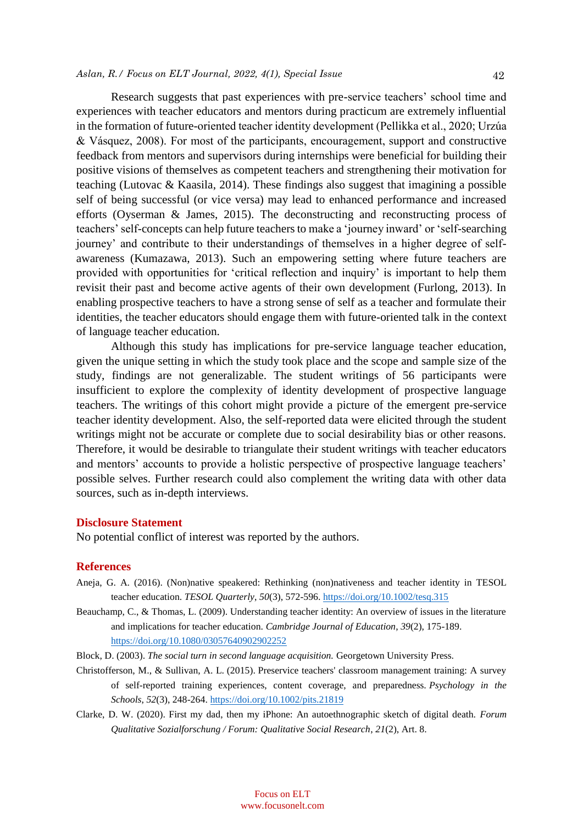## *Aslan, R./ Focus on ELT Journal, 2022, 4(1), Special Issue*  42

Research suggests that past experiences with pre-service teachers' school time and experiences with teacher educators and mentors during practicum are extremely influential in the formation of future-oriented teacher identity development (Pellikka et al., 2020; Urzúa & Vásquez, 2008). For most of the participants, encouragement, support and constructive feedback from mentors and supervisors during internships were beneficial for building their positive visions of themselves as competent teachers and strengthening their motivation for teaching (Lutovac & Kaasila, 2014). These findings also suggest that imagining a possible self of being successful (or vice versa) may lead to enhanced performance and increased efforts (Oyserman & James, 2015). The deconstructing and reconstructing process of teachers' self-concepts can help future teachers to make a 'journey inward' or 'self-searching journey' and contribute to their understandings of themselves in a higher degree of selfawareness (Kumazawa, 2013). Such an empowering setting where future teachers are provided with opportunities for 'critical reflection and inquiry' is important to help them revisit their past and become active agents of their own development (Furlong, 2013). In enabling prospective teachers to have a strong sense of self as a teacher and formulate their identities, the teacher educators should engage them with future-oriented talk in the context of language teacher education.

Although this study has implications for pre-service language teacher education, given the unique setting in which the study took place and the scope and sample size of the study, findings are not generalizable. The student writings of 56 participants were insufficient to explore the complexity of identity development of prospective language teachers. The writings of this cohort might provide a picture of the emergent pre-service teacher identity development. Also, the self-reported data were elicited through the student writings might not be accurate or complete due to social desirability bias or other reasons. Therefore, it would be desirable to triangulate their student writings with teacher educators and mentors' accounts to provide a holistic perspective of prospective language teachers' possible selves. Further research could also complement the writing data with other data sources, such as in-depth interviews.

#### **Disclosure Statement**

No potential conflict of interest was reported by the authors.

#### **References**

- Aneja, G. A. (2016). (Non)native speakered: Rethinking (non)nativeness and teacher identity in TESOL teacher education. *TESOL Quarterly*, *50*(3), 572-596.<https://doi.org/10.1002/tesq.315>
- Beauchamp, C., & Thomas, L. (2009). Understanding teacher identity: An overview of issues in the literature and implications for teacher education. *Cambridge Journal of Education*, *39*(2), 175-189. <https://doi.org/10.1080/03057640902902252>
- Block, D. (2003). *The social turn in second language acquisition.* Georgetown University Press.
- Christofferson, M., & Sullivan, A. L. (2015). Preservice teachers' classroom management training: A survey of self-reported training experiences, content coverage, and preparedness. *Psychology in the Schools*, *52*(3), 248-264. <https://doi.org/10.1002/pits.21819>
- Clarke, D. W. (2020). First my dad, then my iPhone: An autoethnographic sketch of digital death. *Forum Qualitative Sozialforschung / Forum: Qualitative Social Research*, *21*(2), Art. 8.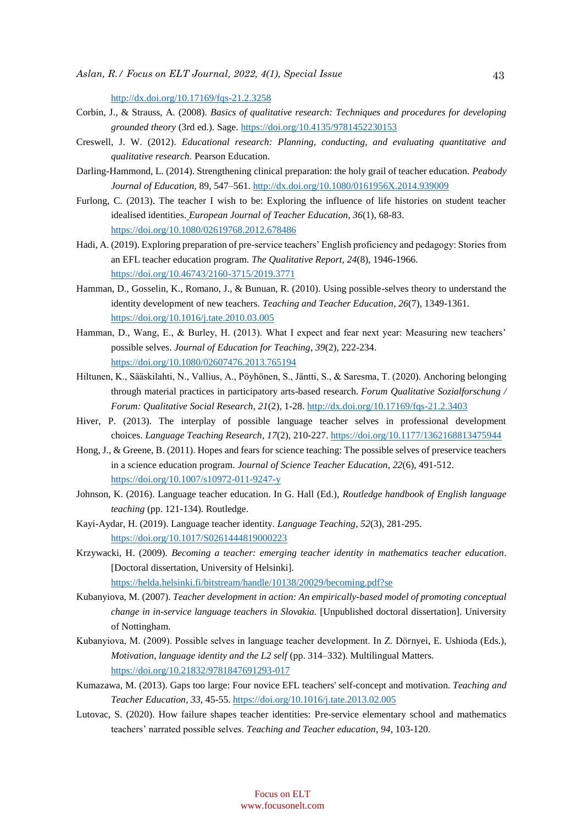<http://dx.doi.org/10.17169/fqs-21.2.3258>

- Corbin, J., & Strauss, A. (2008). *Basics of qualitative research: Techniques and procedures for developing grounded theory* (3rd ed.). Sage. <https://doi.org/10.4135/9781452230153>
- Creswell, J. W. (2012). *Educational research: Planning, conducting, and evaluating quantitative and qualitative research.* Pearson Education.
- Darling-Hammond, L. (2014). Strengthening clinical preparation: the holy grail of teacher education. *Peabody Journal of Education,* 89, 547–561[. http://dx.doi.org/10.1080/0161956X.2014.939009](http://dx.doi.org/10.1080/0161956X.2014.939009)
- Furlong, C. (2013). The teacher I wish to be: Exploring the influence of life histories on student teacher idealised identities. *European Journal of Teacher Education*, *36*(1), 68-83. <https://doi.org/10.1080/02619768.2012.678486>
- Hadi, A. (2019). Exploring preparation of pre-service teachers' English proficiency and pedagogy: Stories from an EFL teacher education program. *The Qualitative Report*, *24*(8), 1946-1966. <https://doi.org/10.46743/2160-3715/2019.3771>
- Hamman, D., Gosselin, K., Romano, J., & Bunuan, R. (2010). Using possible-selves theory to understand the identity development of new teachers. *Teaching and Teacher Education*, *26*(7), 1349-1361. <https://doi.org/10.1016/j.tate.2010.03.005>
- Hamman, D., Wang, E., & Burley, H. (2013). What I expect and fear next year: Measuring new teachers' possible selves. *Journal of Education for Teaching*, *39*(2), 222-234. <https://doi.org/10.1080/02607476.2013.765194>
- Hiltunen, K., Sääskilahti, N., Vallius, A., Pöyhönen, S., Jäntti, S., & Saresma, T. (2020). Anchoring belonging through material practices in participatory arts-based research. *Forum Qualitative Sozialforschung / Forum: Qualitative Social Research*, *21*(2), 1-28[. http://dx.doi.org/10.17169/fqs-21.2.3403](http://dx.doi.org/10.17169/fqs-21.2.3403)
- Hiver, P. (2013). The interplay of possible language teacher selves in professional development choices. *Language Teaching Research*, *17*(2), 210-227.<https://doi.org/10.1177/1362168813475944>
- Hong, J., & Greene, B. (2011). Hopes and fears for science teaching: The possible selves of preservice teachers in a science education program. *Journal of Science Teacher Education*, *22*(6), 491-512. <https://doi.org/10.1007/s10972-011-9247-y>
- Johnson, K. (2016). Language teacher education. In G. Hall (Ed.), *Routledge handbook of English language teaching* (pp. 121-134). Routledge.
- Kayi-Aydar, H. (2019). Language teacher identity. *Language Teaching*, *52*(3), 281-295. <https://doi.org/10.1017/S0261444819000223>
- Krzywacki, H. (2009). *Becoming a teacher: emerging teacher identity in mathematics teacher education*. [Doctoral dissertation, University of Helsinki].

<https://helda.helsinki.fi/bitstream/handle/10138/20029/becoming.pdf?se>

- Kubanyiova, M. (2007). *Teacher development in action: An empirically-based model of promoting conceptual change in in-service language teachers in Slovakia.* [Unpublished doctoral dissertation]. University of Nottingham.
- Kubanyiova, M. (2009). Possible selves in language teacher development. In Z. Dörnyei, E. Ushioda (Eds.), *Motivation, language identity and the L2 self* (pp. 314–332). Multilingual Matters. <https://doi.org/10.21832/9781847691293-017>
- Kumazawa, M. (2013). Gaps too large: Four novice EFL teachers' self-concept and motivation. *Teaching and Teacher Education*, *33*, 45-55.<https://doi.org/10.1016/j.tate.2013.02.005>
- Lutovac, S. (2020). How failure shapes teacher identities: Pre-service elementary school and mathematics teachers' narrated possible selves. *Teaching and Teacher education*, *94*, 103-120.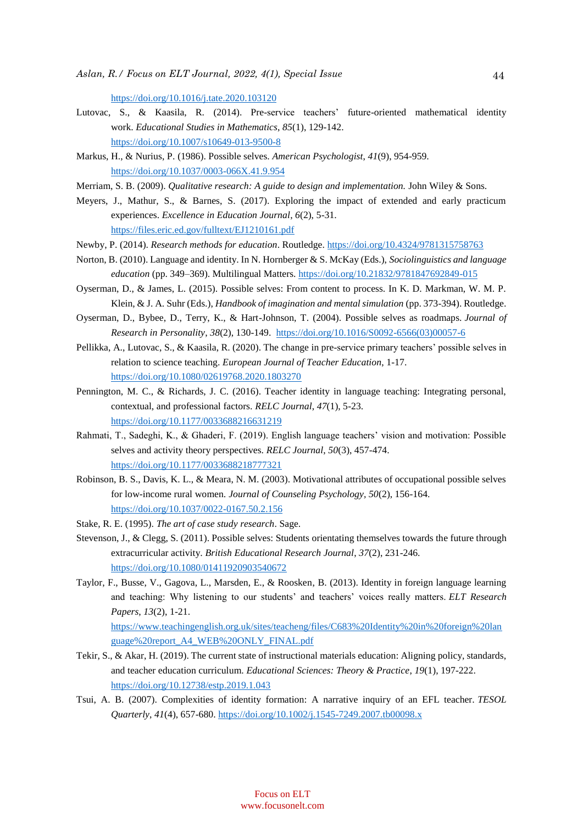<https://doi.org/10.1016/j.tate.2020.103120>

- Lutovac, S., & Kaasila, R. (2014). Pre-service teachers' future-oriented mathematical identity work. *Educational Studies in Mathematics*, *85*(1), 129-142. <https://doi.org/10.1007/s10649-013-9500-8>
- Markus, H., & Nurius, P. (1986). Possible selves. *American Psychologist*, *41*(9), 954-959. <https://doi.org/10.1037/0003-066X.41.9.954>
- Merriam, S. B. (2009). *Qualitative research: A guide to design and implementation.* John Wiley & Sons.
- Meyers, J., Mathur, S., & Barnes, S. (2017). Exploring the impact of extended and early practicum experiences. *Excellence in Education Journal*, *6*(2), 5-31. <https://files.eric.ed.gov/fulltext/EJ1210161.pdf>
- Newby, P. (2014). *Research methods for education*. Routledge. <https://doi.org/10.4324/9781315758763>
- Norton, B. (2010). Language and identity. In N. Hornberger & S. McKay (Eds.), *Sociolinguistics and language education* (pp. 349–369). Multilingual Matters.<https://doi.org/10.21832/9781847692849-015>
- Oyserman, D., & James, L. (2015). Possible selves: From content to process. In K. D. Markman, W. M. P. Klein, & J. A. Suhr (Eds.), *Handbook of imagination and mental simulation* (pp. 373-394). Routledge.
- Oyserman, D., Bybee, D., Terry, K., & Hart-Johnson, T. (2004). Possible selves as roadmaps. *Journal of Research in Personality*, *38*(2), 130-149. [https://doi.org/10.1016/S0092-6566\(03\)00057-6](https://doi.org/10.1016/S0092-6566(03)00057-6)
- Pellikka, A., Lutovac, S., & Kaasila, R. (2020). The change in pre-service primary teachers' possible selves in relation to science teaching. *European Journal of Teacher Education*, 1-17. <https://doi.org/10.1080/02619768.2020.1803270>
- Pennington, M. C., & Richards, J. C. (2016). Teacher identity in language teaching: Integrating personal, contextual, and professional factors. *RELC Journal*, *47*(1), 5-23. <https://doi.org/10.1177/0033688216631219>
- Rahmati, T., Sadeghi, K., & Ghaderi, F. (2019). English language teachers' vision and motivation: Possible selves and activity theory perspectives. *RELC Journal*, *50*(3), 457-474. <https://doi.org/10.1177/0033688218777321>
- Robinson, B. S., Davis, K. L., & Meara, N. M. (2003). Motivational attributes of occupational possible selves for low-income rural women. *Journal of Counseling Psychology, 50*(2), 156-164. <https://doi.org/10.1037/0022-0167.50.2.156>
- Stake, R. E. (1995). *The art of case study research*. Sage.
- Stevenson, J., & Clegg, S. (2011). Possible selves: Students orientating themselves towards the future through extracurricular activity. *British Educational Research Journal*, *37*(2), 231-246. <https://doi.org/10.1080/01411920903540672>
- Taylor, F., Busse, V., Gagova, L., Marsden, E., & Roosken, B. (2013). Identity in foreign language learning and teaching: Why listening to our students' and teachers' voices really matters. *ELT Research Papers*, *13*(2), 1-21.

[https://www.teachingenglish.org.uk/sites/teacheng/files/C683%20Identity%20in%20foreign%20lan](https://www.teachingenglish.org.uk/sites/teacheng/files/C683%20Identity%20in%20foreign%20language%20report_A4_WEB%20ONLY_FINAL.pdf) [guage%20report\\_A4\\_WEB%20ONLY\\_FINAL.pdf](https://www.teachingenglish.org.uk/sites/teacheng/files/C683%20Identity%20in%20foreign%20language%20report_A4_WEB%20ONLY_FINAL.pdf)

- Tekir, S., & Akar, H. (2019). The current state of instructional materials education: Aligning policy, standards, and teacher education curriculum. *Educational Sciences: Theory & Practice*, *19*(1), 197-222. <https://doi.org/10.12738/estp.2019.1.043>
- Tsui, A. B. (2007). Complexities of identity formation: A narrative inquiry of an EFL teacher. *TESOL Quarterly*, *41*(4), 657-680.<https://doi.org/10.1002/j.1545-7249.2007.tb00098.x>